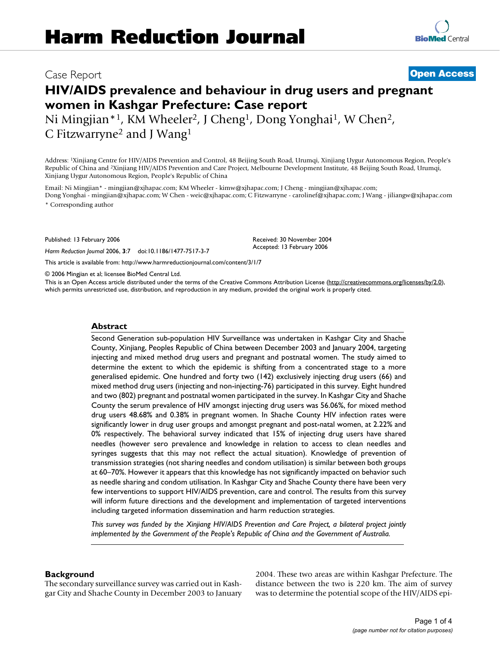# **HIV/AIDS prevalence and behaviour in drug users and pregnant women in Kashgar Prefecture: Case report**

Ni Mingjian\*<sup>1</sup>, KM Wheeler<sup>2</sup>, J Cheng<sup>1</sup>, Dong Yonghai<sup>1</sup>, W Chen<sup>2</sup>, C Fitzwarryne2 and J Wang1

Address: 1Xinjiang Centre for HIV/AIDS Prevention and Control, 48 Beijing South Road, Urumqi, Xinjiang Uygur Autonomous Region, People's Republic of China and 2Xinjiang HIV/AIDS Prevention and Care Project, Melbourne Development Institute, 48 Beijing South Road, Urumqi, Xinjiang Uygur Autonomous Region, People's Republic of China

Email: Ni Mingjian\* - mingjian@xjhapac.com; KM Wheeler - kimw@xjhapac.com; J Cheng - mingjian@xjhapac.com; Dong Yonghai - mingjian@xjhapac.com; W Chen - weic@xjhapac.com; C Fitzwarryne - carolinef@xjhapac.com; J Wang - jiliangw@xjhapac.com

\* Corresponding author

Published: 13 February 2006

*Harm Reduction Journal* 2006, **3**:7 doi:10.1186/1477-7517-3-7

Received: 30 November 2004 Accepted: 13 February 2006

[This article is available from: http://www.harmreductionjournal.com/content/3/1/7](http://www.harmreductionjournal.com/content/3/1/7)

© 2006 Mingjian et al; licensee BioMed Central Ltd.

This is an Open Access article distributed under the terms of the Creative Commons Attribution License [\(http://creativecommons.org/licenses/by/2.0\)](http://creativecommons.org/licenses/by/2.0), which permits unrestricted use, distribution, and reproduction in any medium, provided the original work is properly cited.

#### **Abstract**

Second Generation sub-population HIV Surveillance was undertaken in Kashgar City and Shache County, Xinjiang, Peoples Republic of China between December 2003 and January 2004, targeting injecting and mixed method drug users and pregnant and postnatal women. The study aimed to determine the extent to which the epidemic is shifting from a concentrated stage to a more generalised epidemic. One hundred and forty two (142) exclusively injecting drug users (66) and mixed method drug users (injecting and non-injecting-76) participated in this survey. Eight hundred and two (802) pregnant and postnatal women participated in the survey. In Kashgar City and Shache County the serum prevalence of HIV amongst injecting drug users was 56.06%, for mixed method drug users 48.68% and 0.38% in pregnant women. In Shache County HIV infection rates were significantly lower in drug user groups and amongst pregnant and post-natal women, at 2.22% and 0% respectively. The behavioral survey indicated that 15% of injecting drug users have shared needles (however sero prevalence and knowledge in relation to access to clean needles and syringes suggests that this may not reflect the actual situation). Knowledge of prevention of transmission strategies (not sharing needles and condom utilisation) is similar between both groups at 60–70%. However it appears that this knowledge has not significantly impacted on behavior such as needle sharing and condom utilisation. In Kashgar City and Shache County there have been very few interventions to support HIV/AIDS prevention, care and control. The results from this survey will inform future directions and the development and implementation of targeted interventions including targeted information dissemination and harm reduction strategies.

*This survey was funded by the Xinjiang HIV/AIDS Prevention and Care Project, a bilateral project jointly implemented by the Government of the People's Republic of China and the Government of Australia.*

# **Background**

The secondary surveillance survey was carried out in Kashgar City and Shache County in December 2003 to January 2004. These two areas are within Kashgar Prefecture. The distance between the two is 220 km. The aim of survey was to determine the potential scope of the HIV/AIDS epi-

# Case Report **[Open Access](http://www.biomedcentral.com/info/about/charter/)**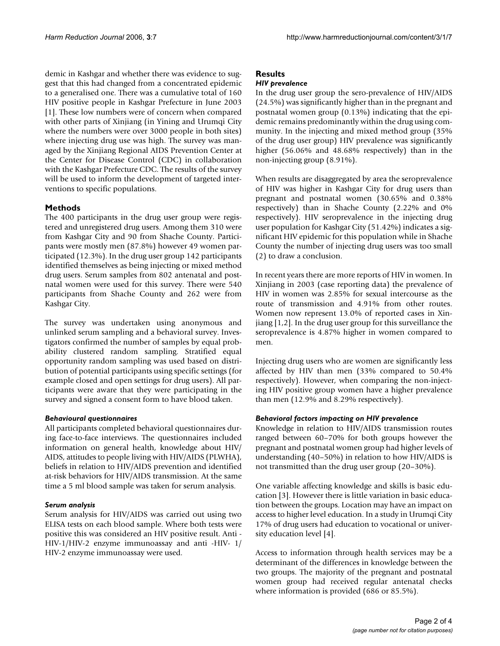demic in Kashgar and whether there was evidence to suggest that this had changed from a concentrated epidemic to a generalised one. There was a cumulative total of 160 HIV positive people in Kashgar Prefecture in June 2003 [1]. These low numbers were of concern when compared with other parts of Xinjiang (in Yining and Urumqi City where the numbers were over 3000 people in both sites) where injecting drug use was high. The survey was managed by the Xinjiang Regional AIDS Prevention Center at the Center for Disease Control (CDC) in collaboration with the Kashgar Prefecture CDC. The results of the survey will be used to inform the development of targeted interventions to specific populations.

# **Methods**

The 400 participants in the drug user group were registered and unregistered drug users. Among them 310 were from Kashgar City and 90 from Shache County. Participants were mostly men (87.8%) however 49 women participated (12.3%). In the drug user group 142 participants identified themselves as being injecting or mixed method drug users. Serum samples from 802 antenatal and postnatal women were used for this survey. There were 540 participants from Shache County and 262 were from Kashgar City.

The survey was undertaken using anonymous and unlinked serum sampling and a behavioral survey. Investigators confirmed the number of samples by equal probability clustered random sampling. Stratified equal opportunity random sampling was used based on distribution of potential participants using specific settings (for example closed and open settings for drug users). All participants were aware that they were participating in the survey and signed a consent form to have blood taken.

# *Behavioural questionnaires*

All participants completed behavioral questionnaires during face-to-face interviews. The questionnaires included information on general health, knowledge about HIV/ AIDS, attitudes to people living with HIV/AIDS (PLWHA), beliefs in relation to HIV/AIDS prevention and identified at-risk behaviors for HIV/AIDS transmission. At the same time a 5 ml blood sample was taken for serum analysis.

# *Serum analysis*

Serum analysis for HIV/AIDS was carried out using two ELISA tests on each blood sample. Where both tests were positive this was considered an HIV positive result. Anti - HIV-1/HIV-2 enzyme immunoassay and anti -HIV- 1/ HIV-2 enzyme immunoassay were used.

# **Results**

# *HIV prevalence*

In the drug user group the sero-prevalence of HIV/AIDS (24.5%) was significantly higher than in the pregnant and postnatal women group (0.13%) indicating that the epidemic remains predominantly within the drug using community. In the injecting and mixed method group (35% of the drug user group) HIV prevalence was significantly higher (56.06% and 48.68% respectively) than in the non-injecting group (8.91%).

When results are disaggregated by area the seroprevalence of HIV was higher in Kashgar City for drug users than pregnant and postnatal women (30.65% and 0.38% respectively) than in Shache County (2.22% and 0% respectively). HIV seroprevalence in the injecting drug user population for Kashgar City (51.42%) indicates a significant HIV epidemic for this population while in Shache County the number of injecting drug users was too small (2) to draw a conclusion.

In recent years there are more reports of HIV in women. In Xinjiang in 2003 (case reporting data) the prevalence of HIV in women was 2.85% for sexual intercourse as the route of transmission and 4.91% from other routes. Women now represent 13.0% of reported cases in Xinjiang [1,2]. In the drug user group for this surveillance the seroprevalence is 4.87% higher in women compared to men.

Injecting drug users who are women are significantly less affected by HIV than men (33% compared to 50.4% respectively). However, when comparing the non-injecting HIV positive group women have a higher prevalence than men (12.9% and 8.29% respectively).

# *Behavioral factors impacting on HIV prevalence*

Knowledge in relation to HIV/AIDS transmission routes ranged between 60–70% for both groups however the pregnant and postnatal women group had higher levels of understanding (40–50%) in relation to how HIV/AIDS is not transmitted than the drug user group (20–30%).

One variable affecting knowledge and skills is basic education [3]. However there is little variation in basic education between the groups. Location may have an impact on access to higher level education. In a study in Urumqi City 17% of drug users had education to vocational or university education level [4].

Access to information through health services may be a determinant of the differences in knowledge between the two groups. The majority of the pregnant and postnatal women group had received regular antenatal checks where information is provided (686 or 85.5%).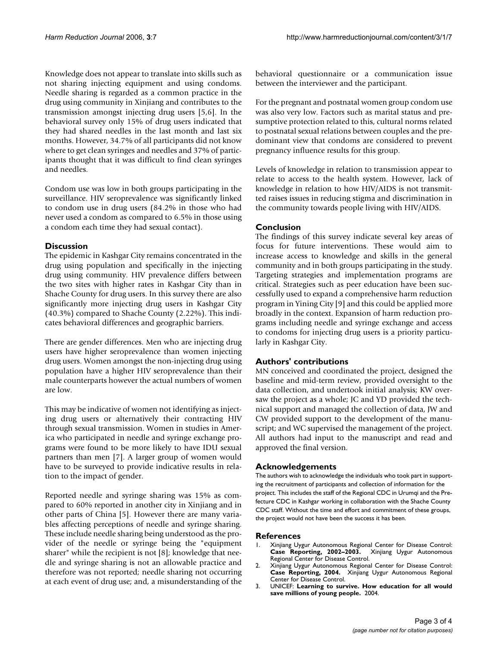Knowledge does not appear to translate into skills such as not sharing injecting equipment and using condoms. Needle sharing is regarded as a common practice in the drug using community in Xinjiang and contributes to the transmission amongst injecting drug users [5,6]. In the behavioral survey only 15% of drug users indicated that they had shared needles in the last month and last six months. However, 34.7% of all participants did not know where to get clean syringes and needles and 37% of participants thought that it was difficult to find clean syringes and needles.

Condom use was low in both groups participating in the surveillance. HIV seroprevalence was significantly linked to condom use in drug users (84.2% in those who had never used a condom as compared to 6.5% in those using a condom each time they had sexual contact).

# **Discussion**

The epidemic in Kashgar City remains concentrated in the drug using population and specifically in the injecting drug using community. HIV prevalence differs between the two sites with higher rates in Kashgar City than in Shache County for drug users. In this survey there are also significantly more injecting drug users in Kashgar City (40.3%) compared to Shache County (2.22%). This indicates behavioral differences and geographic barriers.

There are gender differences. Men who are injecting drug users have higher seroprevalence than women injecting drug users. Women amongst the non-injecting drug using population have a higher HIV seroprevalence than their male counterparts however the actual numbers of women are low.

This may be indicative of women not identifying as injecting drug users or alternatively their contracting HIV through sexual transmission. Women in studies in America who participated in needle and syringe exchange programs were found to be more likely to have IDU sexual partners than men [7]. A larger group of women would have to be surveyed to provide indicative results in relation to the impact of gender.

Reported needle and syringe sharing was 15% as compared to 60% reported in another city in Xinjiang and in other parts of China [5]. However there are many variables affecting perceptions of needle and syringe sharing. These include needle sharing being understood as the provider of the needle or syringe being the "equipment sharer" while the recipient is not [8]; knowledge that needle and syringe sharing is not an allowable practice and therefore was not reported; needle sharing not occurring at each event of drug use; and, a misunderstanding of the behavioral questionnaire or a communication issue between the interviewer and the participant.

For the pregnant and postnatal women group condom use was also very low. Factors such as marital status and presumptive protection related to this, cultural norms related to postnatal sexual relations between couples and the predominant view that condoms are considered to prevent pregnancy influence results for this group.

Levels of knowledge in relation to transmission appear to relate to access to the health system. However, lack of knowledge in relation to how HIV/AIDS is not transmitted raises issues in reducing stigma and discrimination in the community towards people living with HIV/AIDS.

# **Conclusion**

The findings of this survey indicate several key areas of focus for future interventions. These would aim to increase access to knowledge and skills in the general community and in both groups participating in the study. Targeting strategies and implementation programs are critical. Strategies such as peer education have been successfully used to expand a comprehensive harm reduction program in Yining City [9] and this could be applied more broadly in the context. Expansion of harm reduction programs including needle and syringe exchange and access to condoms for injecting drug users is a priority particularly in Kashgar City.

# **Authors' contributions**

MN conceived and coordinated the project, designed the baseline and mid-term review, provided oversight to the data collection, and undertook initial analysis; KW oversaw the project as a whole; JC and YD provided the technical support and managed the collection of data, JW and CW provided support to the development of the manuscript; and WC supervised the management of the project. All authors had input to the manuscript and read and approved the final version.

# **Acknowledgements**

The authors wish to acknowledge the individuals who took part in supporting the recruitment of participants and collection of information for the project. This includes the staff of the Regional CDC in Urumqi and the Prefecture CDC in Kashgar working in collaboration with the Shache County CDC staff. Without the time and effort and commitment of these groups, the project would not have been the success it has been.

### **References**

- 1. Xinjiang Uygur Autonomous Regional Center for Disease Control: **Case Reporting, 2002–2003.** Xinjiang Uygur Autonomous Regional Center for Disease Control.
- 2. Xinjiang Uygur Autonomous Regional Center for Disease Control: **Case Reporting, 2004.** Xinjiang Uygur Autonomous Regional Center for Disease Control.
- 3. UNICEF: **Learning to survive. How education for all would save millions of young people.** 2004.